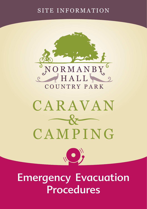### SITE INFORMATION



# CARAVAN  $-8$ CAMPING



## Emergency Evacuation **Procedures**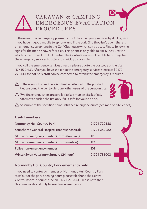#### CARAVAN & CAMPING EMERGENCY EVACUATION PROCEDURES **?**

In the event of an emergency please contact the emergency services by dialling 999. If you haven't got a mobile telephone, and if the park Gift Shop isn't open, there is an emergency telephone in the Golf Clubhouse which can be used. Please follow the signs for the men's shower facilities. This phone is only able to dial 01724 276444 which is the Council Control Centre. The Control Centre will be able to arrange for the emergency services to attend as quickly as possible.

If you call the emergency services directly, please quote the postcode of the site (DN15 9HU). After you have spoken to the emergency services please call 01724 276444 so that park staff can be contacted to attend the emergency if required.

 $\Lambda$  In the event of a fire, there is a fire bell situated in the paddock. Please sound the bell to alert any other users of the caravan site.

 $\triangle$  Two fire extinguishers are available (see map on site leaflet). Attempt to tackle the fire only if it is safe for you to do so.

 $\Lambda$  Assemble at the specified point until the fire brigade arrive (see map on site leaflet)

| <b>Normanby Hall Country Park</b>              | 01724 720588 |  |
|------------------------------------------------|--------------|--|
| Scunthorpe General Hospital (nearest hospital) | 01724 282282 |  |
| NHS non-emergency number (from a landline)     | 111          |  |
| NHS non-emergency number (from a mobile)       | 112          |  |
| Police non-emergency number                    | 101          |  |
| Winter Swan Veterinary Surgery (24 hour)       | 01724 735003 |  |

#### Normanby Hall Country Park emergency only

Useful numbers

If you need to contact a member of Normanby Hall Country Park staff out of the park opening hours please telephone the Central Control Room in Scunthorpe on 01724 276444. Please note that this number should only be used in an emergency.

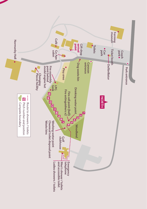